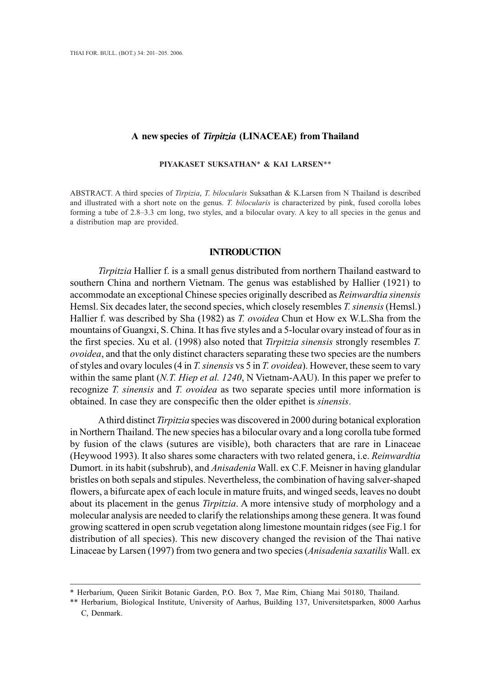# **A new species of** *Tirpitzia* **(LINACEAE) from Thailand**

## **PIYAKASET SUKSATHAN**\* **& KAI LARSEN**\*\*

ABSTRACT. A third species of *Tirpizia*, *T. bilocularis* Suksathan & K.Larsen from N Thailand is described and illustrated with a short note on the genus. *T. bilocularis* is characterized by pink, fused corolla lobes forming a tube of 2.8–3.3 cm long, two styles, and a bilocular ovary. A key to all species in the genus and a distribution map are provided.

# **INTRODUCTION**

*Tirpitzia* Hallier f. is a small genus distributed from northern Thailand eastward to southern China and northern Vietnam. The genus was established by Hallier (1921) to accommodate an exceptional Chinese species originally described as *Reinwardtia sinensis* Hemsl. Six decades later, the second species, which closely resembles *T. sinensis* (Hemsl.) Hallier f. was described by Sha (1982) as *T. ovoidea* Chun et How ex W.L.Sha from the mountains of Guangxi, S. China. It has five styles and a 5-locular ovary instead of four as in the first species. Xu et al. (1998) also noted that *Tirpitzia sinensis* strongly resembles *T. ovoidea*, and that the only distinct characters separating these two species are the numbers of styles and ovary locules (4 in *T. sinensis* vs 5 in *T. ovoidea*). However, these seem to vary within the same plant (*N.T. Hiep et al. 1240*, N Vietnam-AAU). In this paper we prefer to recognize *T. sinensis* and *T. ovoidea* as two separate species until more information is obtained. In case they are conspecific then the older epithet is *sinensis*.

A third distinct *Tirpitzia* species was discovered in 2000 during botanical exploration in Northern Thailand. The new species has a bilocular ovary and a long corolla tube formed by fusion of the claws (sutures are visible), both characters that are rare in Linaceae (Heywood 1993). It also shares some characters with two related genera, i.e. *Reinwardtia* Dumort. in its habit (subshrub), and *Anisadenia* Wall. ex C.F. Meisner in having glandular bristles on both sepals and stipules. Nevertheless, the combination of having salver-shaped flowers, a bifurcate apex of each locule in mature fruits, and winged seeds, leaves no doubt about its placement in the genus *Tirpitzia*. A more intensive study of morphology and a molecular analysis are needed to clarify the relationships among these genera. It was found growing scattered in open scrub vegetation along limestone mountain ridges (see Fig.1 for distribution of all species). This new discovery changed the revision of the Thai native Linaceae by Larsen (1997) from two genera and two species (*Anisadenia saxatilis* Wall. ex

<sup>\*</sup> Herbarium, Queen Sirikit Botanic Garden, P.O. Box 7, Mae Rim, Chiang Mai 50180, Thailand.

<sup>\*\*</sup> Herbarium, Biological Institute, University of Aarhus, Building 137, Universitetsparken, 8000 Aarhus C, Denmark.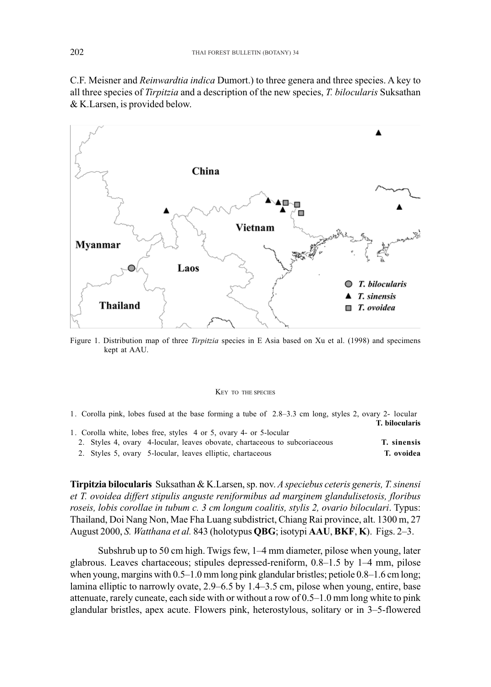C.F. Meisner and *Reinwardtia indica* Dumort.) to three genera and three species. A key to all three species of *Tirpitzia* and a description of the new species, *T. bilocularis* Suksathan & K.Larsen, is provided below.



Figure 1. Distribution map of three *Tirpitzia* species in E Asia based on Xu et al. (1998) and specimens kept at AAU.

#### KEY TO THE SPECIES

1. Corolla pink, lobes fused at the base forming a tube of 2.8–3.3 cm long, styles 2, ovary 2- locular  **T. bilocularis**

|  | 1. Corolla white, lobes free, styles 4 or 5, ovary 4- or 5-locular         |             |
|--|----------------------------------------------------------------------------|-------------|
|  | 2. Styles 4, ovary 4-locular, leaves obovate, chartaceous to subcoriaceous | T. sinensis |
|  | 2. Styles 5, ovary 5-locular, leaves elliptic, chartaceous                 | T. ovoidea  |

**Tirpitzia bilocularis** Suksathan & K.Larsen, sp. nov. *A speciebus ceteris generis, T. sinensi et T. ovoidea differt stipulis anguste reniformibus ad marginem glandulisetosis, floribus roseis, lobis corollae in tubum c. 3 cm longum coalitis, stylis 2, ovario biloculari*. Typus: Thailand, Doi Nang Non, Mae Fha Luang subdistrict, Chiang Rai province, alt. 1300 m, 27 August 2000, *S. Watthana et al.* 843 (holotypus **QBG**; isotypi **AAU**, **BKF**, **K**). Figs. 2–3.

Subshrub up to 50 cm high. Twigs few, 1–4 mm diameter, pilose when young, later glabrous. Leaves chartaceous; stipules depressed-reniform, 0.8–1.5 by 1–4 mm, pilose when young, margins with 0.5–1.0 mm long pink glandular bristles; petiole 0.8–1.6 cm long; lamina elliptic to narrowly ovate, 2.9–6.5 by 1.4–3.5 cm, pilose when young, entire, base attenuate, rarely cuneate, each side with or without a row of 0.5–1.0 mm long white to pink glandular bristles, apex acute. Flowers pink, heterostylous, solitary or in 3–5-flowered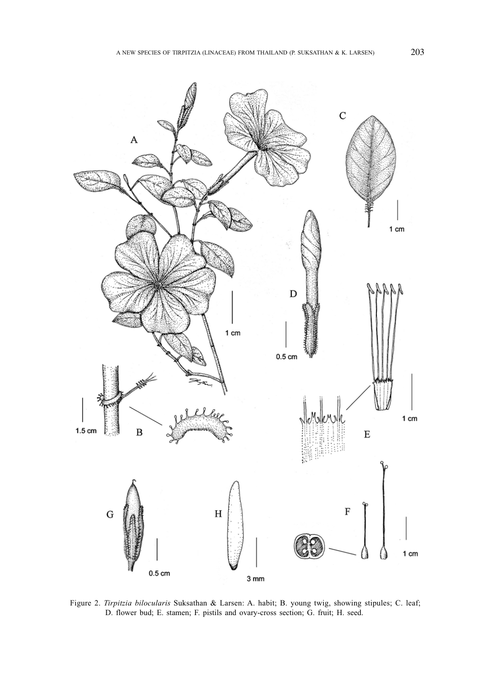

Figure 2. *Tirpitzia bilocularis* Suksathan & Larsen: A. habit; B. young twig, showing stipules; C. leaf; D. flower bud; E. stamen; F. pistils and ovary-cross section; G. fruit; H. seed.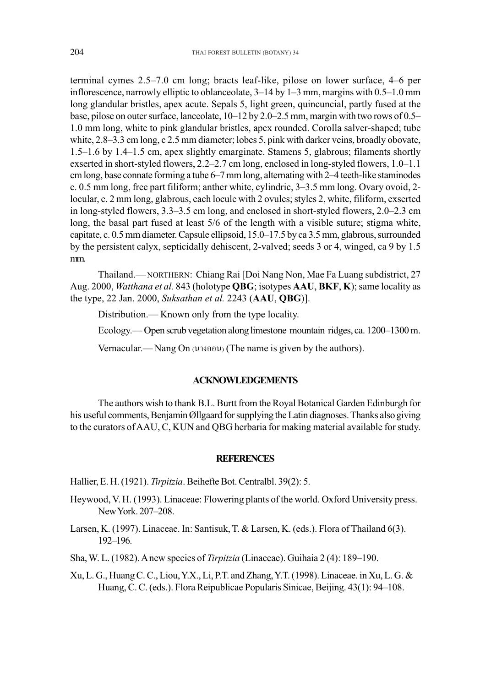terminal cymes 2.5–7.0 cm long; bracts leaf-like, pilose on lower surface, 4–6 per inflorescence, narrowly elliptic to oblanceolate, 3–14 by 1–3 mm, margins with 0.5–1.0 mm long glandular bristles, apex acute. Sepals 5, light green, quincuncial, partly fused at the base, pilose on outer surface, lanceolate, 10–12 by 2.0–2.5 mm, margin with two rows of 0.5– 1.0 mm long, white to pink glandular bristles, apex rounded. Corolla salver-shaped; tube white, 2.8–3.3 cm long, c 2.5 mm diameter; lobes 5, pink with darker veins, broadly obovate, 1.5–1.6 by 1.4–1.5 cm, apex slightly emarginate. Stamens 5, glabrous; filaments shortly exserted in short-styled flowers, 2.2–2.7 cm long, enclosed in long-styled flowers, 1.0–1.1 cm long, base connate forming a tube 6–7 mm long, alternating with 2–4 teeth-like staminodes c. 0.5 mm long, free part filiform; anther white, cylindric, 3–3.5 mm long. Ovary ovoid, 2 locular, c. 2 mm long, glabrous, each locule with 2 ovules; styles 2, white, filiform, exserted in long-styled flowers, 3.3–3.5 cm long, and enclosed in short-styled flowers, 2.0–2.3 cm long, the basal part fused at least 5/6 of the length with a visible suture; stigma white, capitate, c. 0.5 mm diameter. Capsule ellipsoid, 15.0–17.5 by ca 3.5 mm, glabrous, surrounded by the persistent calyx, septicidally dehiscent, 2-valved; seeds 3 or 4, winged, ca 9 by 1.5 mm.

Thailand.— NORTHERN: Chiang Rai [Doi Nang Non, Mae Fa Luang subdistrict, 27 Aug. 2000, *Watthana et al.* 843 (holotype **QBG**; isotypes **AAU**, **BKF**, **K**); same locality as the type, 22 Jan. 2000, *Suksathan et al.* 2243 (**AAU**, **QBG**)].

Distribution.— Known only from the type locality.

Ecology.— Open scrub vegetation along limestone mountain ridges, ca. 1200–1300 m.

Vernacular.— Nang On (μηθουμ) (The name is given by the authors).

# **ACKNOWLEDGEMENTS**

The authors wish to thank B.L. Burtt from the Royal Botanical Garden Edinburgh for his useful comments, Benjamin Øllgaard for supplying the Latin diagnoses. Thanks also giving to the curators of AAU, C, KUN and QBG herbaria for making material available for study.

## **REFERENCES**

Hallier, E. H. (1921). *Tirpitzia*. Beihefte Bot. Centralbl. 39(2): 5.

- Heywood, V. H. (1993). Linaceae: Flowering plants of the world. Oxford University press. New York. 207–208.
- Larsen, K. (1997). Linaceae. In: Santisuk, T. & Larsen, K. (eds.). Flora of Thailand 6(3). 192–196.
- Sha, W. L. (1982). A new species of *Tirpitzia* (Linaceae). Guihaia 2 (4): 189–190.
- Xu, L. G., Huang C. C., Liou, Y.X., Li, P.T. and Zhang, Y.T. (1998). Linaceae. in Xu, L. G. & Huang, C. C. (eds.). Flora Reipublicae Popularis Sinicae, Beijing. 43(1): 94–108.